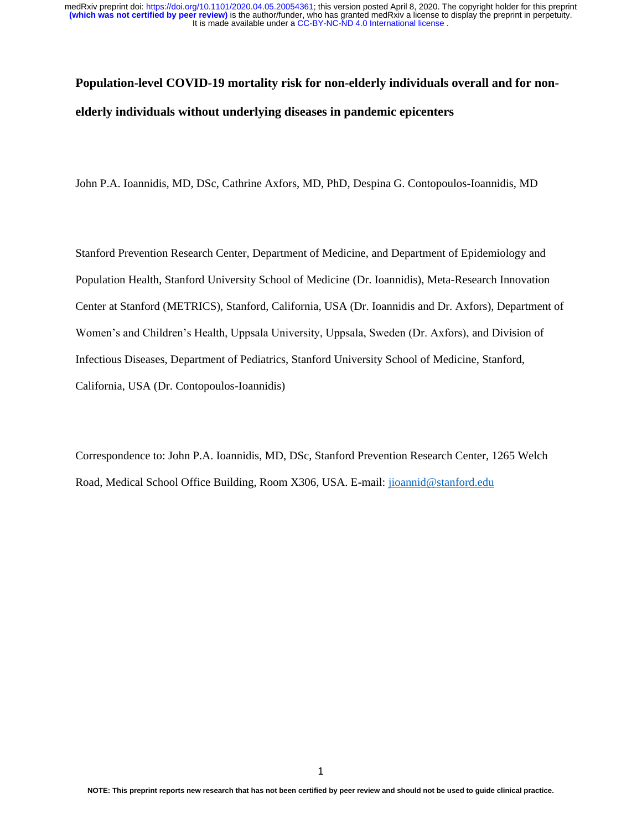# **Population-level COVID-19 mortality risk for non-elderly individuals overall and for nonelderly individuals without underlying diseases in pandemic epicenters**

John P.A. Ioannidis, MD, DSc, Cathrine Axfors, MD, PhD, Despina G. Contopoulos-Ioannidis, MD

Stanford Prevention Research Center, Department of Medicine, and Department of Epidemiology and Population Health, Stanford University School of Medicine (Dr. Ioannidis), Meta-Research Innovation Center at Stanford (METRICS), Stanford, California, USA (Dr. Ioannidis and Dr. Axfors), Department of Women's and Children's Health, Uppsala University, Uppsala, Sweden (Dr. Axfors), and Division of Infectious Diseases, Department of Pediatrics, Stanford University School of Medicine, Stanford, California, USA (Dr. Contopoulos-Ioannidis)

Correspondence to: John P.A. Ioannidis, MD, DSc, Stanford Prevention Research Center, 1265 Welch Road, Medical School Office Building, Room X306, USA. E-mail: [jioannid@stanford.edu](mailto:jioannid@stanford.edu)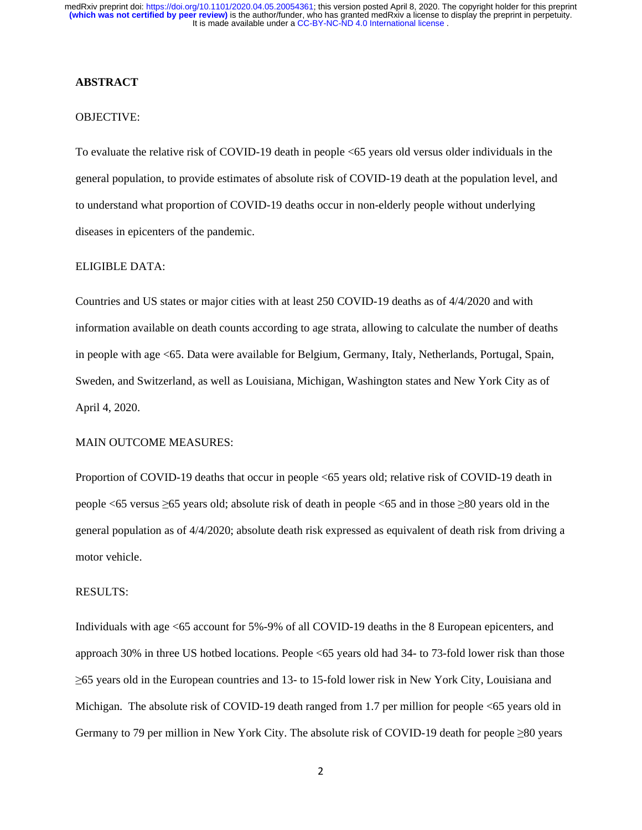### **ABSTRACT**

## OBJECTIVE:

To evaluate the relative risk of COVID-19 death in people <65 years old versus older individuals in the general population, to provide estimates of absolute risk of COVID-19 death at the population level, and to understand what proportion of COVID-19 deaths occur in non-elderly people without underlying diseases in epicenters of the pandemic.

## ELIGIBLE DATA:

Countries and US states or major cities with at least 250 COVID-19 deaths as of 4/4/2020 and with information available on death counts according to age strata, allowing to calculate the number of deaths in people with age <65. Data were available for Belgium, Germany, Italy, Netherlands, Portugal, Spain, Sweden, and Switzerland, as well as Louisiana, Michigan, Washington states and New York City as of April 4, 2020.

#### MAIN OUTCOME MEASURES:

Proportion of COVID-19 deaths that occur in people <65 years old; relative risk of COVID-19 death in people <65 versus ≥65 years old; absolute risk of death in people <65 and in those ≥80 years old in the general population as of 4/4/2020; absolute death risk expressed as equivalent of death risk from driving a motor vehicle.

#### RESULTS:

Individuals with age <65 account for 5%-9% of all COVID-19 deaths in the 8 European epicenters, and approach 30% in three US hotbed locations. People <65 years old had 34- to 73-fold lower risk than those ≥65 years old in the European countries and 13- to 15-fold lower risk in New York City, Louisiana and Michigan. The absolute risk of COVID-19 death ranged from 1.7 per million for people <65 years old in Germany to 79 per million in New York City. The absolute risk of COVID-19 death for people ≥80 years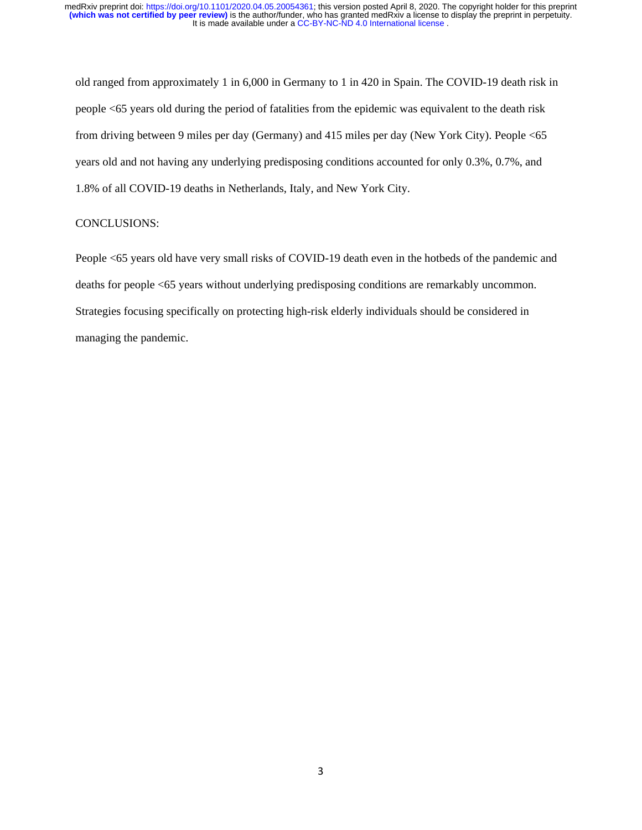old ranged from approximately 1 in 6,000 in Germany to 1 in 420 in Spain. The COVID-19 death risk in people <65 years old during the period of fatalities from the epidemic was equivalent to the death risk from driving between 9 miles per day (Germany) and 415 miles per day (New York City). People <65 years old and not having any underlying predisposing conditions accounted for only 0.3%, 0.7%, and 1.8% of all COVID-19 deaths in Netherlands, Italy, and New York City.

## CONCLUSIONS:

People <65 years old have very small risks of COVID-19 death even in the hotbeds of the pandemic and deaths for people <65 years without underlying predisposing conditions are remarkably uncommon. Strategies focusing specifically on protecting high-risk elderly individuals should be considered in managing the pandemic.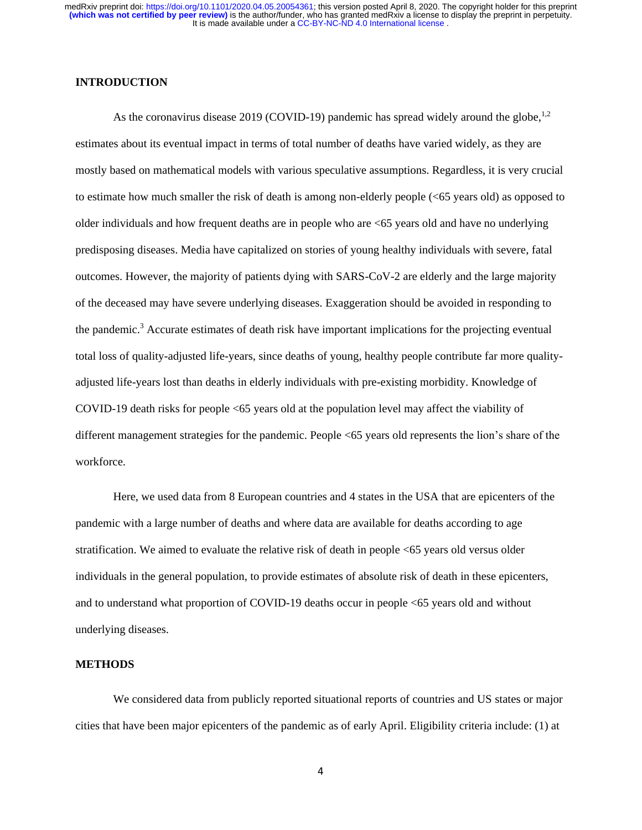## **INTRODUCTION**

As the coronavirus disease 2019 (COVID-19) pandemic has spread widely around the globe,  $^{1,2}$ estimates about its eventual impact in terms of total number of deaths have varied widely, as they are mostly based on mathematical models with various speculative assumptions. Regardless, it is very crucial to estimate how much smaller the risk of death is among non-elderly people (<65 years old) as opposed to older individuals and how frequent deaths are in people who are <65 years old and have no underlying predisposing diseases. Media have capitalized on stories of young healthy individuals with severe, fatal outcomes. However, the majority of patients dying with SARS-CoV-2 are elderly and the large majority of the deceased may have severe underlying diseases. Exaggeration should be avoided in responding to the pandemic.<sup>3</sup> Accurate estimates of death risk have important implications for the projecting eventual total loss of quality-adjusted life-years, since deaths of young, healthy people contribute far more qualityadjusted life-years lost than deaths in elderly individuals with pre-existing morbidity. Knowledge of COVID-19 death risks for people <65 years old at the population level may affect the viability of different management strategies for the pandemic. People <65 years old represents the lion's share of the workforce.

Here, we used data from 8 European countries and 4 states in the USA that are epicenters of the pandemic with a large number of deaths and where data are available for deaths according to age stratification. We aimed to evaluate the relative risk of death in people <65 years old versus older individuals in the general population, to provide estimates of absolute risk of death in these epicenters, and to understand what proportion of COVID-19 deaths occur in people <65 years old and without underlying diseases.

# **METHODS**

 We considered data from publicly reported situational reports of countries and US states or major cities that have been major epicenters of the pandemic as of early April. Eligibility criteria include: (1) at

4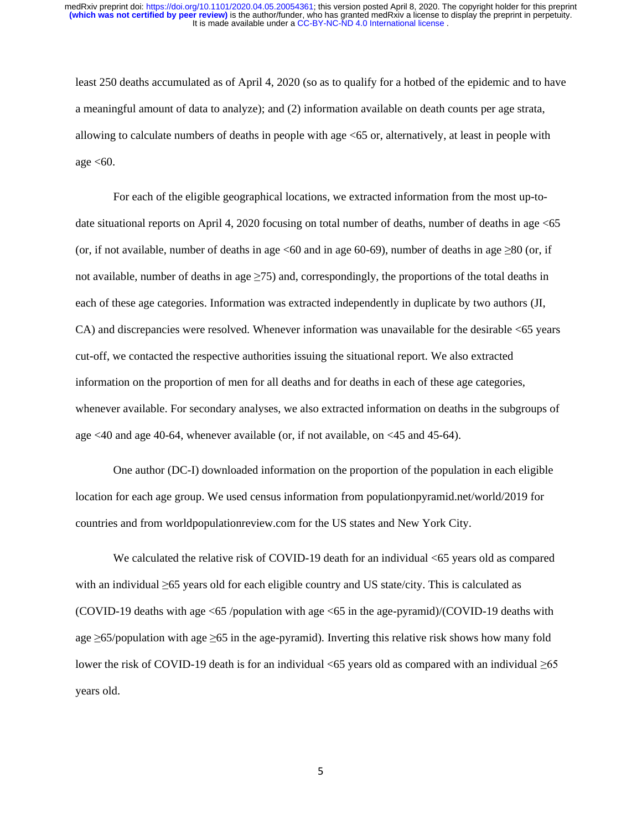least 250 deaths accumulated as of April 4, 2020 (so as to qualify for a hotbed of the epidemic and to have a meaningful amount of data to analyze); and (2) information available on death counts per age strata, allowing to calculate numbers of deaths in people with age <65 or, alternatively, at least in people with age  $< 60$ .

For each of the eligible geographical locations, we extracted information from the most up-todate situational reports on April 4, 2020 focusing on total number of deaths, number of deaths in age <65 (or, if not available, number of deaths in age  $\leq 60$  and in age 60-69), number of deaths in age  $\geq 80$  (or, if not available, number of deaths in age  $\geq$ 75) and, correspondingly, the proportions of the total deaths in each of these age categories. Information was extracted independently in duplicate by two authors (JI, CA) and discrepancies were resolved. Whenever information was unavailable for the desirable <65 years cut-off, we contacted the respective authorities issuing the situational report. We also extracted information on the proportion of men for all deaths and for deaths in each of these age categories, whenever available. For secondary analyses, we also extracted information on deaths in the subgroups of age <40 and age 40-64, whenever available (or, if not available, on <45 and 45-64).

One author (DC-I) downloaded information on the proportion of the population in each eligible location for each age group. We used census information from populationpyramid.net/world/2019 for countries and from [worldpopulationreview.com](https://worldpopulationreview.com/) for the US states and New York City.

We calculated the relative risk of COVID-19 death for an individual  $\leq 65$  years old as compared with an individual ≥65 years old for each eligible country and US state/city. This is calculated as (COVID-19 deaths with age <65 /population with age <65 in the age-pyramid)/(COVID-19 deaths with age ≥65/population with age ≥65 in the age-pyramid). Inverting this relative risk shows how many fold lower the risk of COVID-19 death is for an individual  $\leq 65$  years old as compared with an individual  $\geq 65$ years old.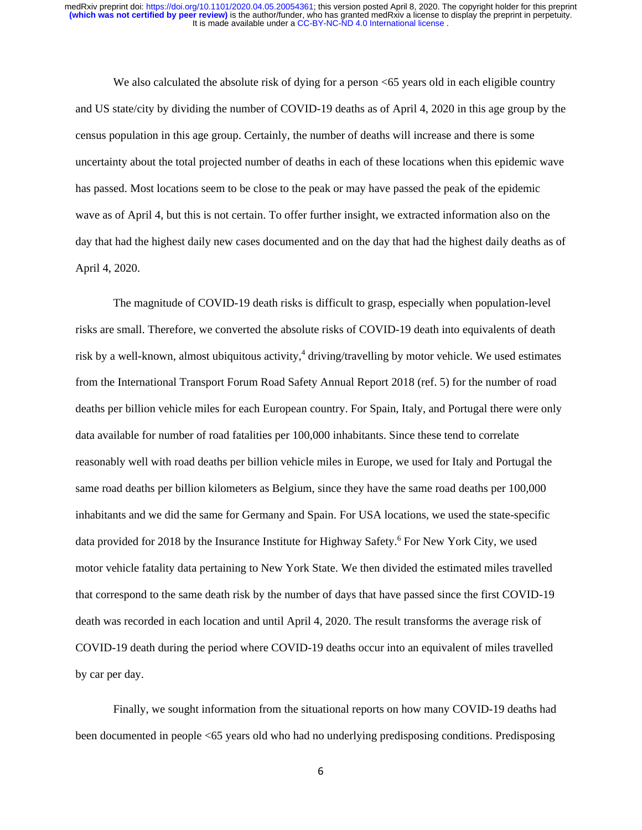We also calculated the absolute risk of dying for a person  $\leq 65$  years old in each eligible country and US state/city by dividing the number of COVID-19 deaths as of April 4, 2020 in this age group by the census population in this age group. Certainly, the number of deaths will increase and there is some uncertainty about the total projected number of deaths in each of these locations when this epidemic wave has passed. Most locations seem to be close to the peak or may have passed the peak of the epidemic wave as of April 4, but this is not certain. To offer further insight, we extracted information also on the day that had the highest daily new cases documented and on the day that had the highest daily deaths as of April 4, 2020.

The magnitude of COVID-19 death risks is difficult to grasp, especially when population-level risks are small. Therefore, we converted the absolute risks of COVID-19 death into equivalents of death risk by a well-known, almost ubiquitous activity,<sup>4</sup> driving/travelling by motor vehicle. We used estimates from the International Transport Forum Road Safety Annual Report 2018 (ref. 5) for the number of road deaths per billion vehicle miles for each European country. For Spain, Italy, and Portugal there were only data available for number of road fatalities per 100,000 inhabitants. Since these tend to correlate reasonably well with road deaths per billion vehicle miles in Europe, we used for Italy and Portugal the same road deaths per billion kilometers as Belgium, since they have the same road deaths per 100,000 inhabitants and we did the same for Germany and Spain. For USA locations, we used the state-specific data provided for 2018 by the Insurance Institute for Highway Safety.<sup>6</sup> For New York City, we used motor vehicle fatality data pertaining to New York State. We then divided the estimated miles travelled that correspond to the same death risk by the number of days that have passed since the first COVID-19 death was recorded in each location and until April 4, 2020. The result transforms the average risk of COVID-19 death during the period where COVID-19 deaths occur into an equivalent of miles travelled by car per day.

Finally, we sought information from the situational reports on how many COVID-19 deaths had been documented in people <65 years old who had no underlying predisposing conditions. Predisposing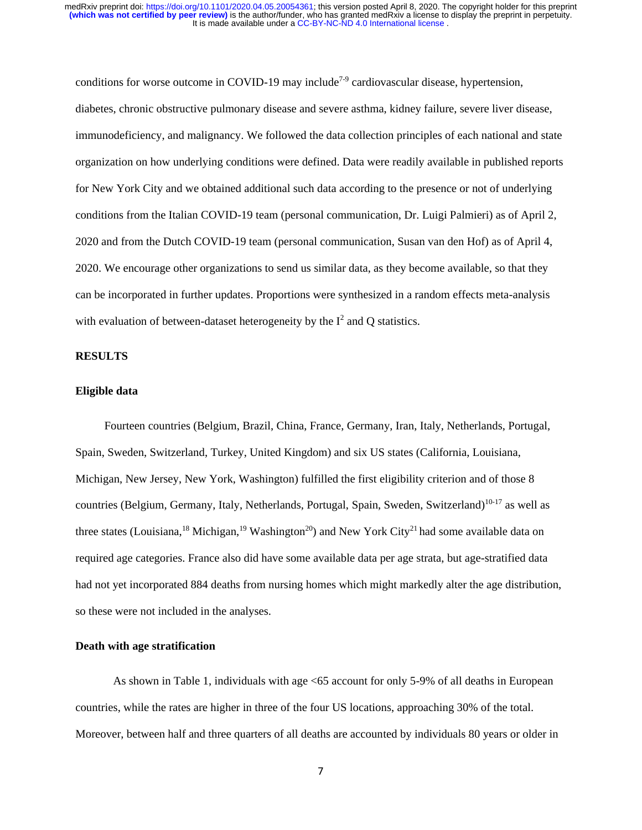conditions for worse outcome in COVID-19 may include<sup>7-9</sup> cardiovascular disease, hypertension, diabetes, chronic obstructive pulmonary disease and severe asthma, kidney failure, severe liver disease, immunodeficiency, and malignancy. We followed the data collection principles of each national and state organization on how underlying conditions were defined. Data were readily available in published reports for New York City and we obtained additional such data according to the presence or not of underlying conditions from the Italian COVID-19 team (personal communication, Dr. Luigi Palmieri) as of April 2, 2020 and from the Dutch COVID-19 team (personal communication, Susan van den Hof) as of April 4, 2020. We encourage other organizations to send us similar data, as they become available, so that they can be incorporated in further updates. Proportions were synthesized in a random effects meta-analysis with evaluation of between-dataset heterogeneity by the  $I^2$  and Q statistics.

#### **RESULTS**

#### **Eligible data**

 Fourteen countries (Belgium, Brazil, China, France, Germany, Iran, Italy, Netherlands, Portugal, Spain, Sweden, Switzerland, Turkey, United Kingdom) and six US states (California, Louisiana, Michigan, New Jersey, New York, Washington) fulfilled the first eligibility criterion and of those 8 countries (Belgium, Germany, Italy, Netherlands, Portugal, Spain, Sweden, Switzerland)<sup>10-17</sup> as well as three states (Louisiana, <sup>18</sup> Michigan, <sup>19</sup> Washington<sup>20</sup>) and New York City<sup>21</sup> had some available data on required age categories. France also did have some available data per age strata, but age-stratified data had not yet incorporated 884 deaths from nursing homes which might markedly alter the age distribution, so these were not included in the analyses.

# **Death with age stratification**

As shown in Table 1, individuals with age <65 account for only 5-9% of all deaths in European countries, while the rates are higher in three of the four US locations, approaching 30% of the total. Moreover, between half and three quarters of all deaths are accounted by individuals 80 years or older in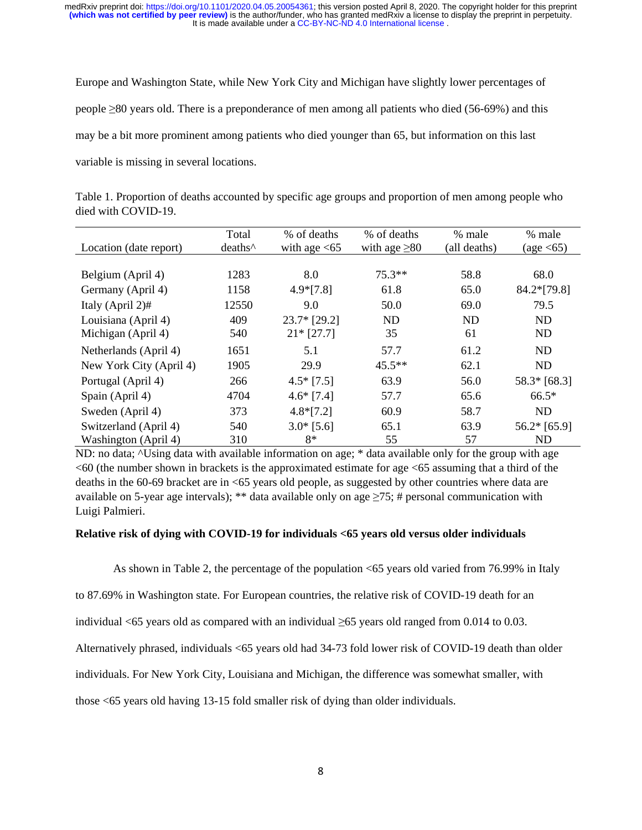Europe and Washington State, while New York City and Michigan have slightly lower percentages of people ≥80 years old. There is a preponderance of men among all patients who died (56-69%) and this may be a bit more prominent among patients who died younger than 65, but information on this last variable is missing in several locations.

| Table 1. Proportion of deaths accounted by specific age groups and proportion of men among people who |  |  |  |
|-------------------------------------------------------------------------------------------------------|--|--|--|
| died with COVID-19.                                                                                   |  |  |  |

|                         | Total               | % of deaths    | % of deaths        | % male       | % male                         |
|-------------------------|---------------------|----------------|--------------------|--------------|--------------------------------|
| Location (date report)  | deaths <sup>^</sup> | with age $<65$ | with age $\geq 80$ | (all deaths) | $\left(\text{age} < 65\right)$ |
|                         |                     |                |                    |              |                                |
| Belgium (April 4)       | 1283                | 8.0            | $75.3**$           | 58.8         | 68.0                           |
| Germany (April 4)       | 1158                | $4.9*[7.8]$    | 61.8               | 65.0         | 84.2*[79.8]                    |
| Italy (April $2\n #$    | 12550               | 9.0            | 50.0               | 69.0         | 79.5                           |
| Louisiana (April 4)     | 409                 | $23.7*$ [29.2] | <b>ND</b>          | <b>ND</b>    | <b>ND</b>                      |
| Michigan (April 4)      | 540                 | $21*$ [27.7]   | 35                 | 61           | <b>ND</b>                      |
| Netherlands (April 4)   | 1651                | 5.1            | 57.7               | 61.2         | ND                             |
| New York City (April 4) | 1905                | 29.9           | $45.5***$          | 62.1         | <b>ND</b>                      |
| Portugal (April 4)      | 266                 | $4.5*$ [7.5]   | 63.9               | 56.0         | $58.3*$ [68.3]                 |
| Spain (April 4)         | 4704                | $4.6*$ [7.4]   | 57.7               | 65.6         | $66.5*$                        |
| Sweden (April 4)        | 373                 | $4.8*[7.2]$    | 60.9               | 58.7         | <b>ND</b>                      |
| Switzerland (April 4)   | 540                 | $3.0*$ [5.6]   | 65.1               | 63.9         | $56.2*$ [65.9]                 |
| Washington (April 4)    | 310                 | 8*             | 55                 | 57           | ND                             |

ND: no data; ^Using data with available information on age; \* data available only for the group with age  $<60$  (the number shown in brackets is the approximated estimate for age  $<65$  assuming that a third of the deaths in the 60-69 bracket are in <65 years old people, as suggested by other countries where data are available on 5-year age intervals); \*\* data available only on age  $\geq$ 75; # personal communication with Luigi Palmieri.

#### **Relative risk of dying with COVID-19 for individuals <65 years old versus older individuals**

As shown in Table 2, the percentage of the population <65 years old varied from 76.99% in Italy

to 87.69% in Washington state. For European countries, the relative risk of COVID-19 death for an

individual <65 years old as compared with an individual  $\geq$ 65 years old ranged from 0.014 to 0.03.

Alternatively phrased, individuals <65 years old had 34-73 fold lower risk of COVID-19 death than older

individuals. For New York City, Louisiana and Michigan, the difference was somewhat smaller, with

those <65 years old having 13-15 fold smaller risk of dying than older individuals.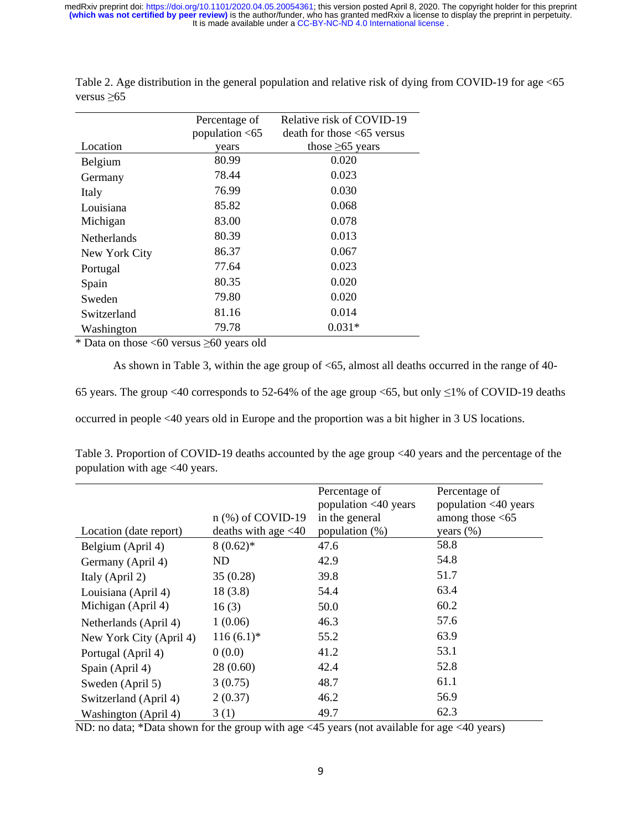|                    | Relative risk of COVID-19<br>Percentage of |                                |
|--------------------|--------------------------------------------|--------------------------------|
|                    | population $<$ 65                          | $death$ for those $<65$ versus |
| Location           | years                                      | those $\geq 65$ years          |
| Belgium            | 80.99                                      | 0.020                          |
| Germany            | 78.44                                      | 0.023                          |
| Italy              | 76.99                                      | 0.030                          |
| Louisiana          | 85.82                                      | 0.068                          |
| Michigan           | 83.00                                      | 0.078                          |
| <b>Netherlands</b> | 80.39                                      | 0.013                          |
| New York City      | 86.37                                      | 0.067                          |
| Portugal           | 77.64                                      | 0.023                          |
| Spain              | 80.35                                      | 0.020                          |
| Sweden             | 79.80                                      | 0.020                          |
| Switzerland        | 81.16                                      | 0.014                          |
| Washington         | 79.78                                      | $0.031*$                       |

Table 2. Age distribution in the general population and relative risk of dying from COVID-19 for age <65 versus ≥65

\* Data on those <60 versus ≥60 years old

As shown in Table 3, within the age group of  $\leq 65$ , almost all deaths occurred in the range of 40-

65 years. The group <40 corresponds to 52-64% of the age group <65, but only  $\leq$ 1% of COVID-19 deaths

occurred in people <40 years old in Europe and the proportion was a bit higher in 3 US locations.

Table 3. Proportion of COVID-19 deaths accounted by the age group <40 years and the percentage of the population with age <40 years.

|                         | $n$ (%) of COVID-19    | Percentage of<br>population <40 years<br>in the general | Percentage of<br>population <40 years<br>among those $<65$ |
|-------------------------|------------------------|---------------------------------------------------------|------------------------------------------------------------|
| Location (date report)  | deaths with age $<$ 40 | population $(\%)$                                       | years $(\%)$                                               |
| Belgium (April 4)       | $8(0.62)$ *            | 47.6                                                    | 58.8                                                       |
| Germany (April 4)       | ND                     | 42.9                                                    | 54.8                                                       |
| Italy (April 2)         | 35(0.28)               | 39.8                                                    | 51.7                                                       |
| Louisiana (April 4)     | 18(3.8)                | 54.4                                                    | 63.4                                                       |
| Michigan (April 4)      | 16(3)                  | 50.0                                                    | 60.2                                                       |
| Netherlands (April 4)   | 1(0.06)                | 46.3                                                    | 57.6                                                       |
| New York City (April 4) | $116(6.1)^*$           | 55.2                                                    | 63.9                                                       |
| Portugal (April 4)      | 0(0.0)                 | 41.2                                                    | 53.1                                                       |
| Spain (April 4)         | 28(0.60)               | 42.4                                                    | 52.8                                                       |
| Sweden (April 5)        | 3(0.75)                | 48.7                                                    | 61.1                                                       |
| Switzerland (April 4)   | 2(0.37)                | 46.2                                                    | 56.9                                                       |
| Washington (April 4)    | 3(1)                   | 49.7                                                    | 62.3                                                       |

ND: no data; \*Data shown for the group with age <45 years (not available for age <40 years)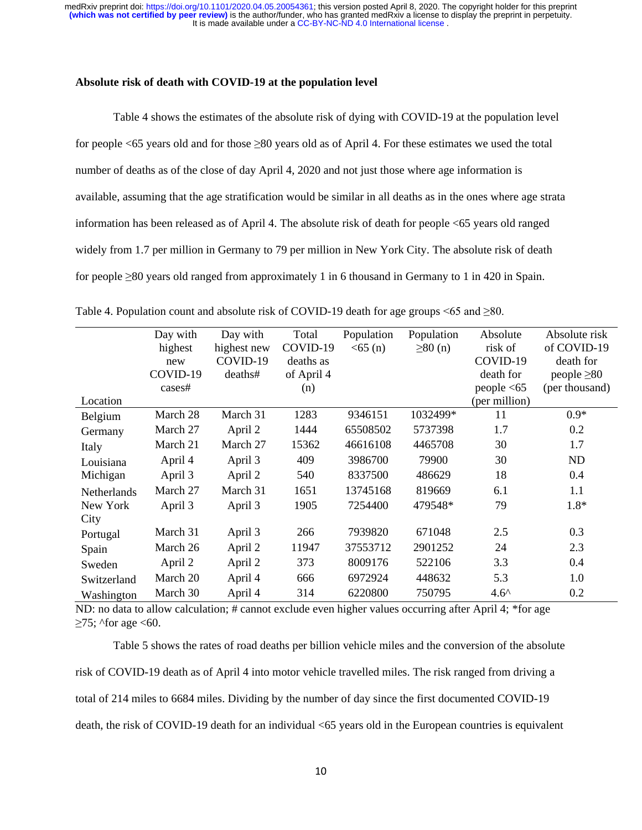#### **Absolute risk of death with COVID-19 at the population level**

Table 4 shows the estimates of the absolute risk of dying with COVID-19 at the population level for people <65 years old and for those ≥80 years old as of April 4. For these estimates we used the total number of deaths as of the close of day April 4, 2020 and not just those where age information is available, assuming that the age stratification would be similar in all deaths as in the ones where age strata information has been released as of April 4. The absolute risk of death for people <65 years old ranged widely from 1.7 per million in Germany to 79 per million in New York City. The absolute risk of death for people ≥80 years old ranged from approximately 1 in 6 thousand in Germany to 1 in 420 in Spain.

|             | Day with | Day with    | Total      | Population | Population    | Absolute      | Absolute risk    |
|-------------|----------|-------------|------------|------------|---------------|---------------|------------------|
|             | highest  | highest new | COVID-19   | < 65(n)    | $\geq 80$ (n) | risk of       | of COVID-19      |
|             | new      | COVID-19    | deaths as  |            |               | COVID-19      | death for        |
|             | COVID-19 | deaths#     | of April 4 |            |               | death for     | people $\geq 80$ |
|             | cases#   |             | (n)        |            |               | people $<$ 65 | (per thousand)   |
| Location    |          |             |            |            |               | (per million) |                  |
| Belgium     | March 28 | March 31    | 1283       | 9346151    | 1032499*      | 11            | $0.9*$           |
| Germany     | March 27 | April 2     | 1444       | 65508502   | 5737398       | 1.7           | 0.2              |
| Italy       | March 21 | March 27    | 15362      | 46616108   | 4465708       | 30            | 1.7              |
| Louisiana   | April 4  | April 3     | 409        | 3986700    | 79900         | 30            | ND               |
| Michigan    | April 3  | April 2     | 540        | 8337500    | 486629        | 18            | 0.4              |
| Netherlands | March 27 | March 31    | 1651       | 13745168   | 819669        | 6.1           | 1.1              |
| New York    | April 3  | April 3     | 1905       | 7254400    | 479548*       | 79            | $1.8*$           |
| City        |          |             |            |            |               |               |                  |
| Portugal    | March 31 | April 3     | 266        | 7939820    | 671048        | 2.5           | 0.3              |
| Spain       | March 26 | April 2     | 11947      | 37553712   | 2901252       | 24            | 2.3              |
| Sweden      | April 2  | April 2     | 373        | 8009176    | 522106        | 3.3           | 0.4              |
| Switzerland | March 20 | April 4     | 666        | 6972924    | 448632        | 5.3           | 1.0              |
| Washington  | March 30 | April 4     | 314        | 6220800    | 750795        | $4.6^{\circ}$ | 0.2              |

Table 4. Population count and absolute risk of COVID-19 death for age groups <65 and  $\geq$ 80.

ND: no data to allow calculation; # cannot exclude even higher values occurring after April 4; \*for age  $\geq$ 75; ^for age <60.

Table 5 shows the rates of road deaths per billion vehicle miles and the conversion of the absolute risk of COVID-19 death as of April 4 into motor vehicle travelled miles. The risk ranged from driving a total of 214 miles to 6684 miles. Dividing by the number of day since the first documented COVID-19 death, the risk of COVID-19 death for an individual <65 years old in the European countries is equivalent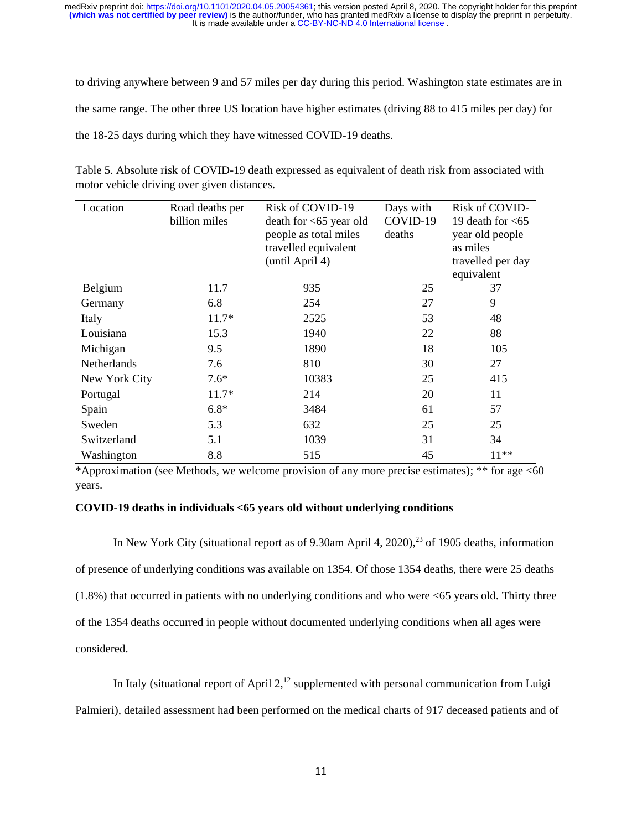to driving anywhere between 9 and 57 miles per day during this period. Washington state estimates are in the same range. The other three US location have higher estimates (driving 88 to 415 miles per day) for the 18-25 days during which they have witnessed COVID-19 deaths.

| Location      | Road deaths per<br>billion miles | Risk of COVID-19<br>death for <65 year old<br>people as total miles<br>travelled equivalent<br>(until April 4) | Days with<br>COVID-19<br>deaths | Risk of COVID-<br>19 death for $<65$<br>year old people<br>as miles<br>travelled per day<br>equivalent |
|---------------|----------------------------------|----------------------------------------------------------------------------------------------------------------|---------------------------------|--------------------------------------------------------------------------------------------------------|
| Belgium       | 11.7                             | 935                                                                                                            | 25                              | 37                                                                                                     |
| Germany       | 6.8                              | 254                                                                                                            | 27                              | 9                                                                                                      |
| Italy         | $11.7*$                          | 2525                                                                                                           | 53                              | 48                                                                                                     |
| Louisiana     | 15.3                             | 1940                                                                                                           | 22                              | 88                                                                                                     |
| Michigan      | 9.5                              | 1890                                                                                                           | 18                              | 105                                                                                                    |
| Netherlands   | 7.6                              | 810                                                                                                            | 30                              | 27                                                                                                     |
| New York City | $7.6*$                           | 10383                                                                                                          | 25                              | 415                                                                                                    |
| Portugal      | $11.7*$                          | 214                                                                                                            | 20                              | 11                                                                                                     |
| Spain         | $6.8*$                           | 3484                                                                                                           | 61                              | 57                                                                                                     |
| Sweden        | 5.3                              | 632                                                                                                            | 25                              | 25                                                                                                     |
| Switzerland   | 5.1                              | 1039                                                                                                           | 31                              | 34                                                                                                     |
| Washington    | 8.8                              | 515                                                                                                            | 45                              | $11**$                                                                                                 |

| Table 5. Absolute risk of COVID-19 death expressed as equivalent of death risk from associated with |  |  |  |
|-----------------------------------------------------------------------------------------------------|--|--|--|
| motor vehicle driving over given distances.                                                         |  |  |  |

\*Approximation (see Methods, we welcome provision of any more precise estimates); \*\* for age <60 years.

# **COVID-19 deaths in individuals <65 years old without underlying conditions**

In New York City (situational report as of 9.30am April 4, 2020),<sup>23</sup> of 1905 deaths, information of presence of underlying conditions was available on 1354. Of those 1354 deaths, there were 25 deaths (1.8%) that occurred in patients with no underlying conditions and who were <65 years old. Thirty three of the 1354 deaths occurred in people without documented underlying conditions when all ages were considered.

In Italy (situational report of April  $2<sup>12</sup>$  supplemented with personal communication from Luigi Palmieri), detailed assessment had been performed on the medical charts of 917 deceased patients and of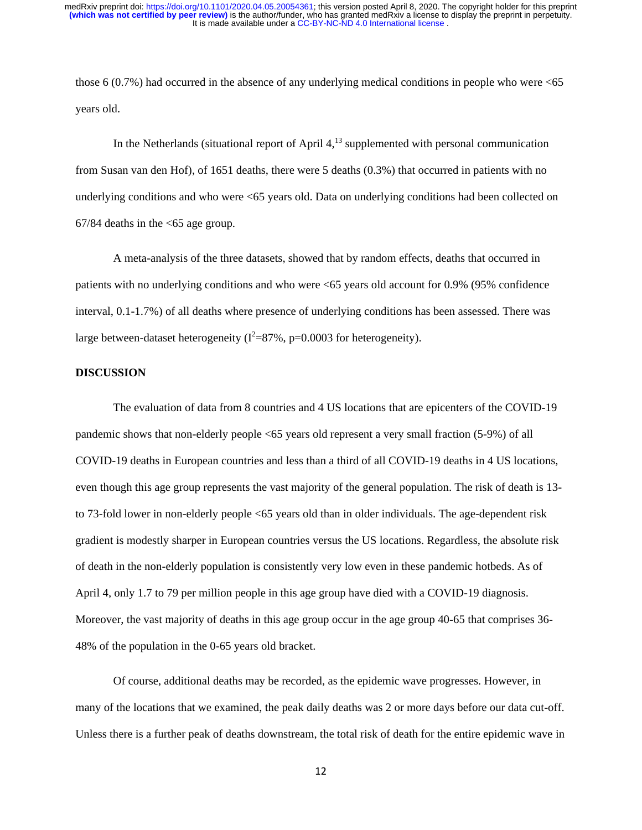those 6 (0.7%) had occurred in the absence of any underlying medical conditions in people who were  $\leq 65$ years old.

In the Netherlands (situational report of April  $4<sup>13</sup>$  supplemented with personal communication from Susan van den Hof), of 1651 deaths, there were 5 deaths (0.3%) that occurred in patients with no underlying conditions and who were <65 years old. Data on underlying conditions had been collected on  $67/84$  deaths in the  $\leq 65$  age group.

A meta-analysis of the three datasets, showed that by random effects, deaths that occurred in patients with no underlying conditions and who were <65 years old account for 0.9% (95% confidence interval, 0.1-1.7%) of all deaths where presence of underlying conditions has been assessed. There was large between-dataset heterogeneity ( $I^2 = 87\%$ , p=0.0003 for heterogeneity).

#### **DISCUSSION**

The evaluation of data from 8 countries and 4 US locations that are epicenters of the COVID-19 pandemic shows that non-elderly people <65 years old represent a very small fraction (5-9%) of all COVID-19 deaths in European countries and less than a third of all COVID-19 deaths in 4 US locations, even though this age group represents the vast majority of the general population. The risk of death is 13 to 73-fold lower in non-elderly people <65 years old than in older individuals. The age-dependent risk gradient is modestly sharper in European countries versus the US locations. Regardless, the absolute risk of death in the non-elderly population is consistently very low even in these pandemic hotbeds. As of April 4, only 1.7 to 79 per million people in this age group have died with a COVID-19 diagnosis. Moreover, the vast majority of deaths in this age group occur in the age group 40-65 that comprises 36- 48% of the population in the 0-65 years old bracket.

Of course, additional deaths may be recorded, as the epidemic wave progresses. However, in many of the locations that we examined, the peak daily deaths was 2 or more days before our data cut-off. Unless there is a further peak of deaths downstream, the total risk of death for the entire epidemic wave in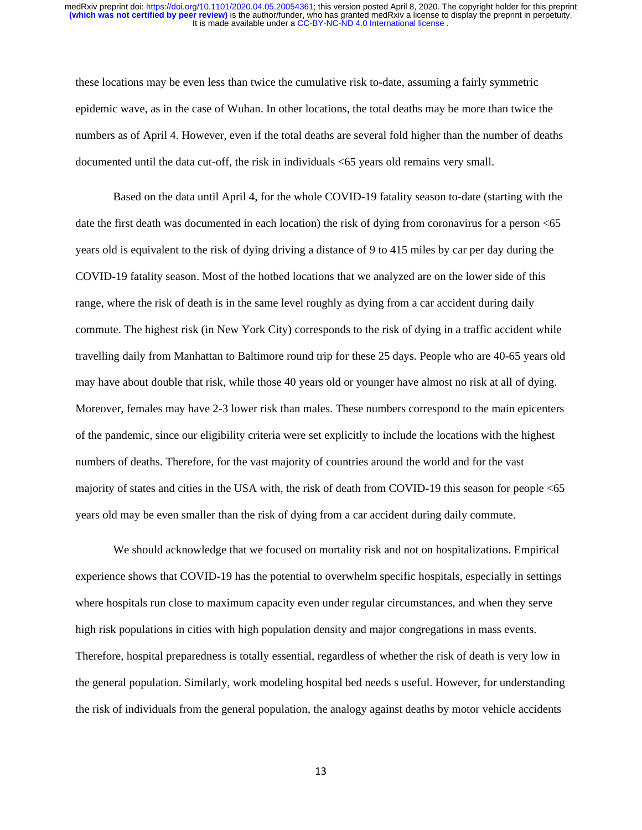these locations may be even less than twice the cumulative risk to-date, assuming a fairly symmetric epidemic wave, as in the case of Wuhan. In other locations, the total deaths may be more than twice the numbers as of April 4. However, even if the total deaths are several fold higher than the number of deaths documented until the data cut-off, the risk in individuals <65 years old remains very small.

Based on the data until April 4, for the whole COVID-19 fatality season to-date (starting with the date the first death was documented in each location) the risk of dying from coronavirus for a person <65 years old is equivalent to the risk of dying driving a distance of 9 to 415 miles by car per day during the COVID-19 fatality season. Most of the hotbed locations that we analyzed are on the lower side of this range, where the risk of death is in the same level roughly as dying from a car accident during daily commute. The highest risk (in New York City) corresponds to the risk of dying in a traffic accident while travelling daily from Manhattan to Baltimore round trip for these 25 days. People who are 40-65 years old may have about double that risk, while those 40 years old or younger have almost no risk at all of dying. Moreover, females may have 2-3 lower risk than males. These numbers correspond to the main epicenters of the pandemic, since our eligibility criteria were set explicitly to include the locations with the highest numbers of deaths. Therefore, for the vast majority of countries around the world and for the vast majority of states and cities in the USA with, the risk of death from COVID-19 this season for people <65 years old may be even smaller than the risk of dying from a car accident during daily commute.

We should acknowledge that we focused on mortality risk and not on hospitalizations. Empirical experience shows that COVID-19 has the potential to overwhelm specific hospitals, especially in settings where hospitals run close to maximum capacity even under regular circumstances, and when they serve high risk populations in cities with high population density and major congregations in mass events. Therefore, hospital preparedness is totally essential, regardless of whether the risk of death is very low in the general population. Similarly, work modeling hospital bed needs s useful. However, for understanding the risk of individuals from the general population, the analogy against deaths by motor vehicle accidents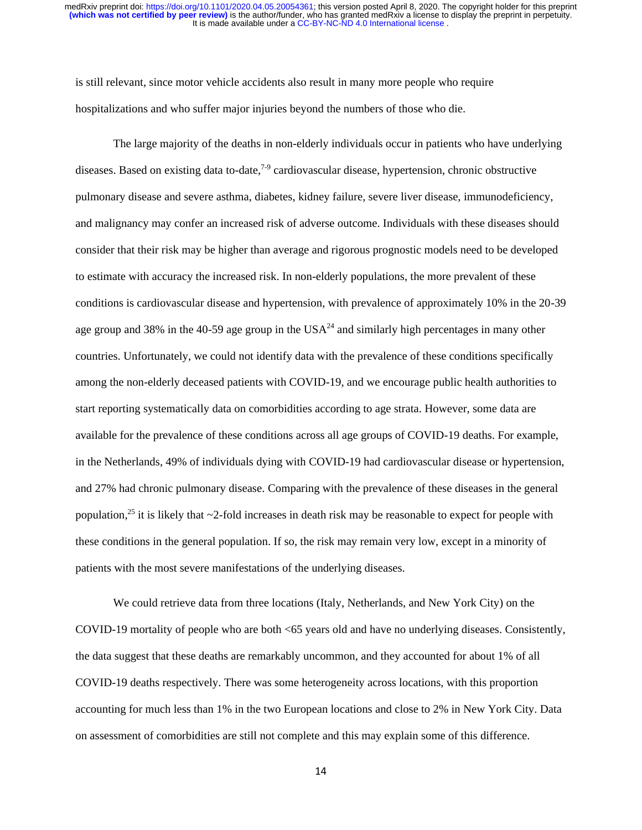is still relevant, since motor vehicle accidents also result in many more people who require hospitalizations and who suffer major injuries beyond the numbers of those who die.

The large majority of the deaths in non-elderly individuals occur in patients who have underlying diseases. Based on existing data to-date,<sup>7-9</sup> cardiovascular disease, hypertension, chronic obstructive pulmonary disease and severe asthma, diabetes, kidney failure, severe liver disease, immunodeficiency, and malignancy may confer an increased risk of adverse outcome. Individuals with these diseases should consider that their risk may be higher than average and rigorous prognostic models need to be developed to estimate with accuracy the increased risk. In non-elderly populations, the more prevalent of these conditions is cardiovascular disease and hypertension, with prevalence of approximately 10% in the 20-39 age group and 38% in the 40-59 age group in the  $USA^{24}$  and similarly high percentages in many other countries. Unfortunately, we could not identify data with the prevalence of these conditions specifically among the non-elderly deceased patients with COVID-19, and we encourage public health authorities to start reporting systematically data on comorbidities according to age strata. However, some data are available for the prevalence of these conditions across all age groups of COVID-19 deaths. For example, in the Netherlands, 49% of individuals dying with COVID-19 had cardiovascular disease or hypertension, and 27% had chronic pulmonary disease. Comparing with the prevalence of these diseases in the general population,<sup>25</sup> it is likely that  $\sim$ 2-fold increases in death risk may be reasonable to expect for people with these conditions in the general population. If so, the risk may remain very low, except in a minority of patients with the most severe manifestations of the underlying diseases.

We could retrieve data from three locations (Italy, Netherlands, and New York City) on the COVID-19 mortality of people who are both <65 years old and have no underlying diseases. Consistently, the data suggest that these deaths are remarkably uncommon, and they accounted for about 1% of all COVID-19 deaths respectively. There was some heterogeneity across locations, with this proportion accounting for much less than 1% in the two European locations and close to 2% in New York City. Data on assessment of comorbidities are still not complete and this may explain some of this difference.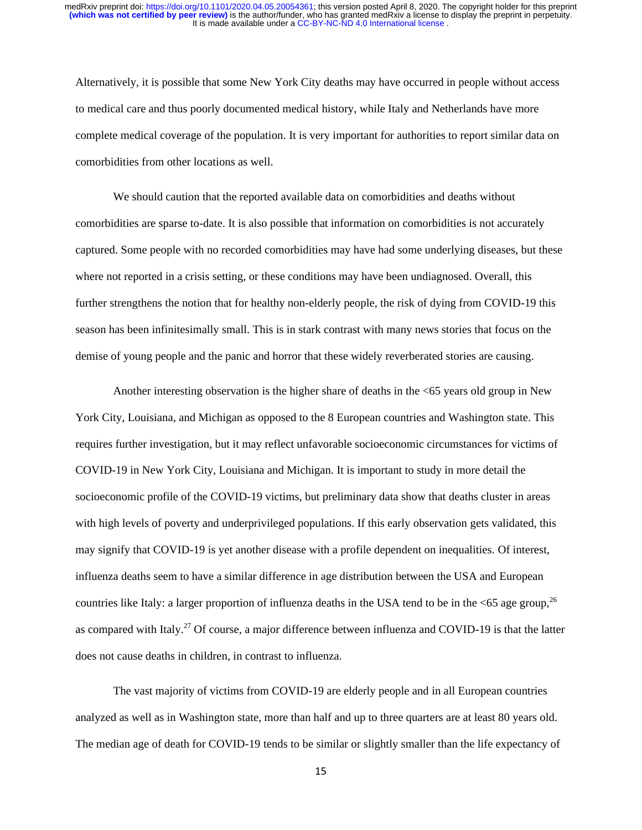Alternatively, it is possible that some New York City deaths may have occurred in people without access to medical care and thus poorly documented medical history, while Italy and Netherlands have more complete medical coverage of the population. It is very important for authorities to report similar data on comorbidities from other locations as well.

We should caution that the reported available data on comorbidities and deaths without comorbidities are sparse to-date. It is also possible that information on comorbidities is not accurately captured. Some people with no recorded comorbidities may have had some underlying diseases, but these where not reported in a crisis setting, or these conditions may have been undiagnosed. Overall, this further strengthens the notion that for healthy non-elderly people, the risk of dying from COVID-19 this season has been infinitesimally small. This is in stark contrast with many news stories that focus on the demise of young people and the panic and horror that these widely reverberated stories are causing.

Another interesting observation is the higher share of deaths in the <65 years old group in New York City, Louisiana, and Michigan as opposed to the 8 European countries and Washington state. This requires further investigation, but it may reflect unfavorable socioeconomic circumstances for victims of COVID-19 in New York City, Louisiana and Michigan. It is important to study in more detail the socioeconomic profile of the COVID-19 victims, but preliminary data show that deaths cluster in areas with high levels of poverty and underprivileged populations. If this early observation gets validated, this may signify that COVID-19 is yet another disease with a profile dependent on inequalities. Of interest, influenza deaths seem to have a similar difference in age distribution between the USA and European countries like Italy: a larger proportion of influenza deaths in the USA tend to be in the  $\leq 65$  age group,  $^{26}$ as compared with Italy.<sup>27</sup> Of course, a major difference between influenza and COVID-19 is that the latter does not cause deaths in children, in contrast to influenza.

The vast majority of victims from COVID-19 are elderly people and in all European countries analyzed as well as in Washington state, more than half and up to three quarters are at least 80 years old. The median age of death for COVID-19 tends to be similar or slightly smaller than the life expectancy of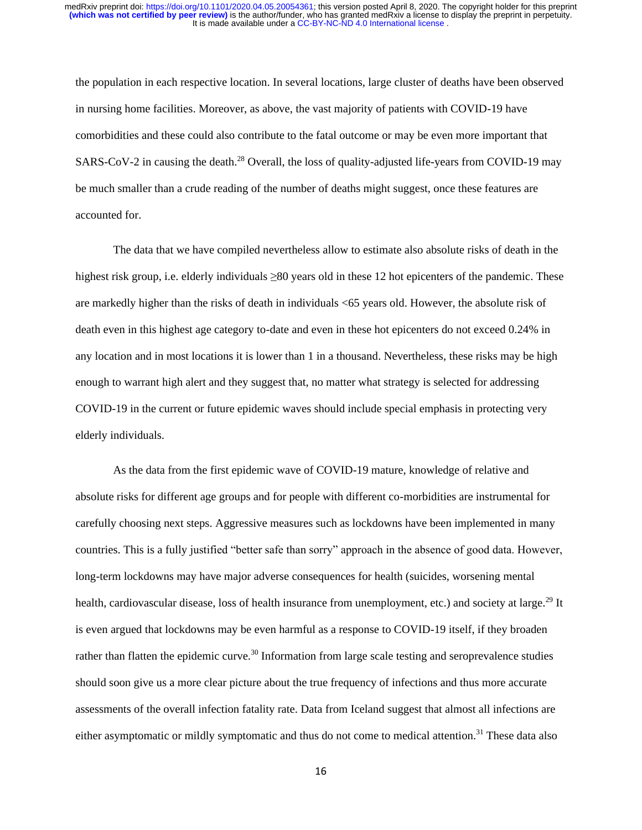the population in each respective location. In several locations, large cluster of deaths have been observed in nursing home facilities. Moreover, as above, the vast majority of patients with COVID-19 have comorbidities and these could also contribute to the fatal outcome or may be even more important that SARS-CoV-2 in causing the death.<sup>28</sup> Overall, the loss of quality-adjusted life-years from COVID-19 may be much smaller than a crude reading of the number of deaths might suggest, once these features are accounted for.

The data that we have compiled nevertheless allow to estimate also absolute risks of death in the highest risk group, i.e. elderly individuals ≥80 years old in these 12 hot epicenters of the pandemic. These are markedly higher than the risks of death in individuals <65 years old. However, the absolute risk of death even in this highest age category to-date and even in these hot epicenters do not exceed 0.24% in any location and in most locations it is lower than 1 in a thousand. Nevertheless, these risks may be high enough to warrant high alert and they suggest that, no matter what strategy is selected for addressing COVID-19 in the current or future epidemic waves should include special emphasis in protecting very elderly individuals.

As the data from the first epidemic wave of COVID-19 mature, knowledge of relative and absolute risks for different age groups and for people with different co-morbidities are instrumental for carefully choosing next steps. Aggressive measures such as lockdowns have been implemented in many countries. This is a fully justified "better safe than sorry" approach in the absence of good data. However, long-term lockdowns may have major adverse consequences for health (suicides, worsening mental health, cardiovascular disease, loss of health insurance from unemployment, etc.) and society at large.<sup>29</sup> It is even argued that lockdowns may be even harmful as a response to COVID-19 itself, if they broaden rather than flatten the epidemic curve.<sup>30</sup> Information from large scale testing and seroprevalence studies should soon give us a more clear picture about the true frequency of infections and thus more accurate assessments of the overall infection fatality rate. Data from Iceland suggest that almost all infections are either asymptomatic or mildly symptomatic and thus do not come to medical attention.<sup>31</sup> These data also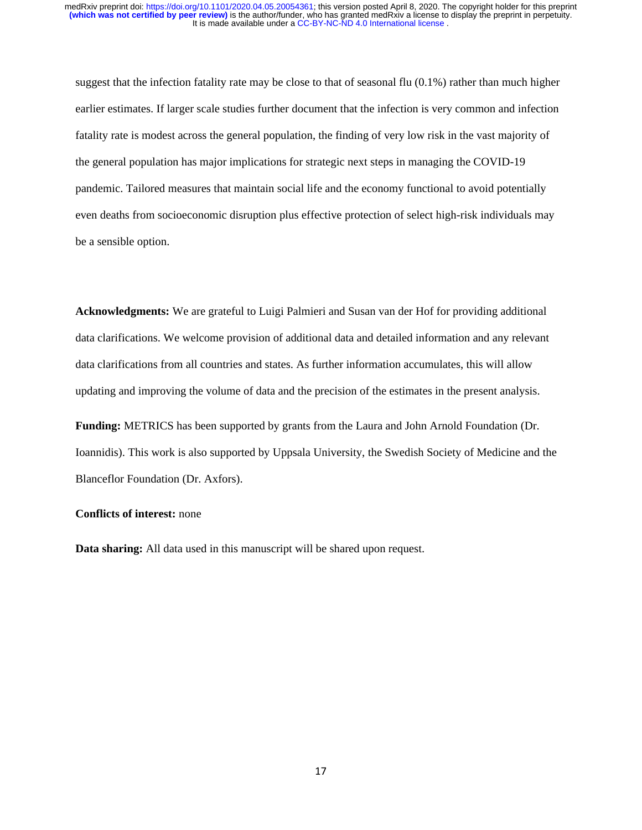suggest that the infection fatality rate may be close to that of seasonal flu  $(0.1\%)$  rather than much higher earlier estimates. If larger scale studies further document that the infection is very common and infection fatality rate is modest across the general population, the finding of very low risk in the vast majority of the general population has major implications for strategic next steps in managing the COVID-19 pandemic. Tailored measures that maintain social life and the economy functional to avoid potentially even deaths from socioeconomic disruption plus effective protection of select high-risk individuals may be a sensible option.

**Acknowledgments:** We are grateful to Luigi Palmieri and Susan van der Hof for providing additional data clarifications. We welcome provision of additional data and detailed information and any relevant data clarifications from all countries and states. As further information accumulates, this will allow updating and improving the volume of data and the precision of the estimates in the present analysis.

**Funding:** METRICS has been supported by grants from the Laura and John Arnold Foundation (Dr. Ioannidis). This work is also supported by Uppsala University, the Swedish Society of Medicine and the Blanceflor Foundation (Dr. Axfors).

## **Conflicts of interest:** none

**Data sharing:** All data used in this manuscript will be shared upon request.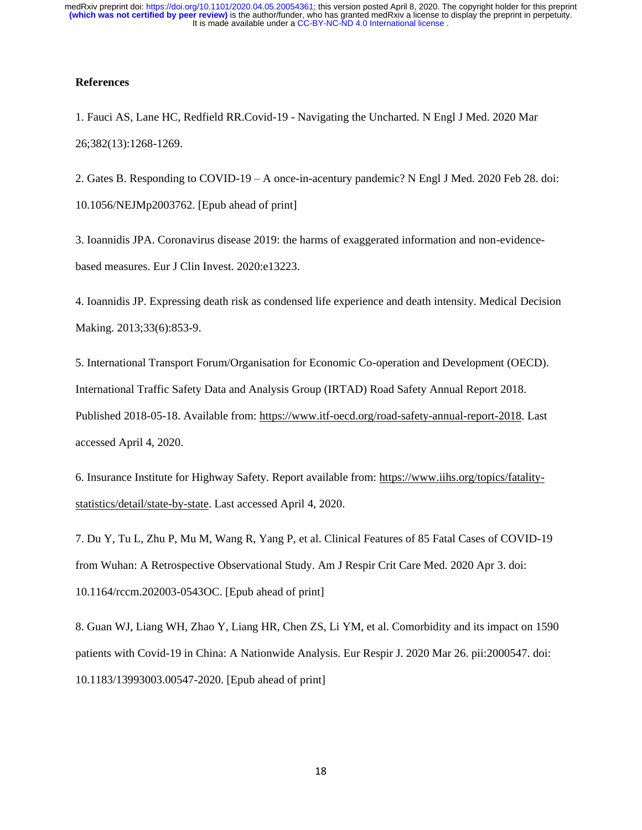### **References**

1. Fauci AS, Lane HC, Redfield RR.Covid-19 - Navigating the Uncharted. N Engl J Med. 2020 Mar 26;382(13):1268-1269.

2. Gates B. Responding to COVID-19 – A once-in-acentury pandemic? N Engl J Med. 2020 Feb 28. doi: 10.1056/NEJMp2003762. [Epub ahead of print]

3. Ioannidis JPA. Coronavirus disease 2019: the harms of exaggerated information and non-evidencebased measures. Eur J Clin Invest. 2020:e13223.

4. Ioannidis JP. Expressing death risk as condensed life experience and death intensity. Medical Decision Making. 2013;33(6):853-9.

5. International Transport Forum/Organisation for Economic Co-operation and Development (OECD). International Traffic Safety Data and Analysis Group (IRTAD) Road Safety Annual Report 2018. Published 2018-05-18. Available from: [https://www.itf-oecd.org/road-safety-annual-report-2018.](https://www.itf-oecd.org/road-safety-annual-report-2018) Last accessed April 4, 2020.

6. Insurance Institute for Highway Safety. Report available from: [https://www.iihs.org/topics/fatality](https://www.iihs.org/topics/fatality-statistics/detail/state-by-state)[statistics/detail/state-by-state.](https://www.iihs.org/topics/fatality-statistics/detail/state-by-state) Last accessed April 4, 2020.

7. Du Y, Tu L, Zhu P, Mu M, Wang R, Yang P, et al. Clinical Features of 85 Fatal Cases of COVID-19 from Wuhan: A Retrospective Observational Study. Am J Respir Crit Care Med. 2020 Apr 3. doi: 10.1164/rccm.202003-0543OC. [Epub ahead of print]

8. Guan WJ, Liang WH, Zhao Y, Liang HR, Chen ZS, Li YM, et al. Comorbidity and its impact on 1590 patients with Covid-19 in China: A Nationwide Analysis. Eur Respir J. 2020 Mar 26. pii:2000547. doi: 10.1183/13993003.00547-2020. [Epub ahead of print]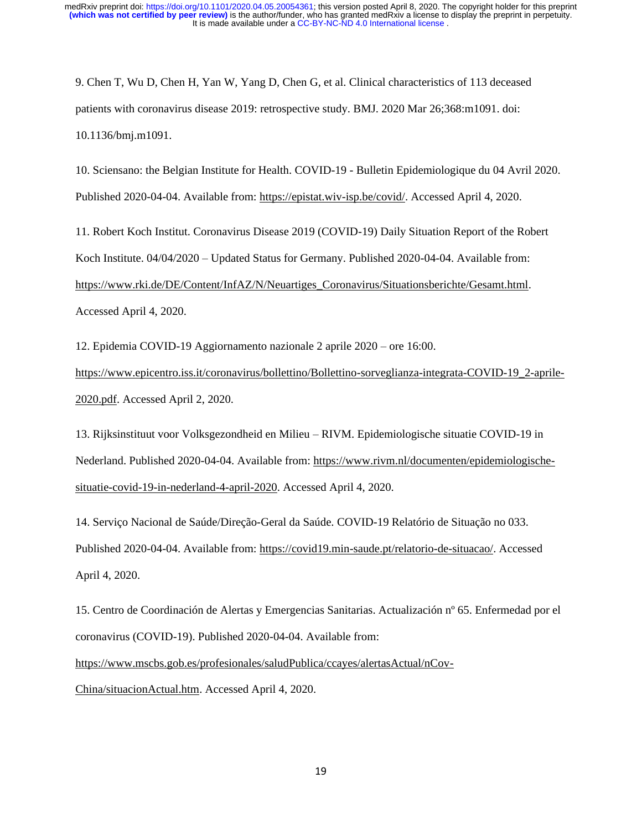9. Chen T, Wu D, Chen H, Yan W, Yang D, Chen G, et al. Clinical characteristics of 113 deceased patients with coronavirus disease 2019: retrospective study. BMJ. 2020 Mar 26;368:m1091. doi: 10.1136/bmj.m1091.

10. Sciensano: the Belgian Institute for Health. COVID-19 - Bulletin Epidemiologique du 04 Avril 2020. Published 2020-04-04. Available from: [https://epistat.wiv-isp.be/covid/.](https://epistat.wiv-isp.be/covid/) Accessed April 4, 2020.

11. Robert Koch Institut. Coronavirus Disease 2019 (COVID-19) Daily Situation Report of the Robert Koch Institute. 04/04/2020 – Updated Status for Germany. Published 2020-04-04. Available from: [https://www.rki.de/DE/Content/InfAZ/N/Neuartiges\\_Coronavirus/Situationsberichte/Gesamt.html.](https://www.rki.de/DE/Content/InfAZ/N/Neuartiges_Coronavirus/Situationsberichte/Gesamt.html)  Accessed April 4, 2020.

12. Epidemia COVID-19 Aggiornamento nazionale 2 aprile 2020 – ore 16:00.

[https://www.epicentro.iss.it/coronavirus/bollettino/Bollettino-sorveglianza-integrata-COVID-19\\_2-aprile-](https://www.epicentro.iss.it/coronavirus/bollettino/Bollettino-sorveglianza-integrata-COVID-19_2-aprile-2020.pdf)[2020.pdf.](https://www.epicentro.iss.it/coronavirus/bollettino/Bollettino-sorveglianza-integrata-COVID-19_2-aprile-2020.pdf) Accessed April 2, 2020.

13. Rijksinstituut voor Volksgezondheid en Milieu – RIVM. Epidemiologische situatie COVID-19 in Nederland. Published 2020-04-04. Available from: [https://www.rivm.nl/documenten/epidemiologische](https://www.rivm.nl/documenten/epidemiologische-situatie-covid-19-in-nederland-4-april-2020)[situatie-covid-19-in-nederland-4-april-2020.](https://www.rivm.nl/documenten/epidemiologische-situatie-covid-19-in-nederland-4-april-2020) Accessed April 4, 2020.

14. Serviço Nacional de Saúde/Direção-Geral da Saúde. COVID-19 Relatório de Situação no 033. Published 2020-04-04. Available from: [https://covid19.min-saude.pt/relatorio-de-situacao/.](https://covid19.min-saude.pt/relatorio-de-situacao/) Accessed April 4, 2020.

15. Centro de Coordinación de Alertas y Emergencias Sanitarias. Actualización nº 65. Enfermedad por el coronavirus (COVID-19). Published 2020-04-04. Available from:

[https://www.mscbs.gob.es/profesionales/saludPublica/ccayes/alertasActual/nCov-](https://www.mscbs.gob.es/profesionales/saludPublica/ccayes/alertasActual/nCov-China/situacionActual.htm)

[China/situacionActual.htm.](https://www.mscbs.gob.es/profesionales/saludPublica/ccayes/alertasActual/nCov-China/situacionActual.htm) Accessed April 4, 2020.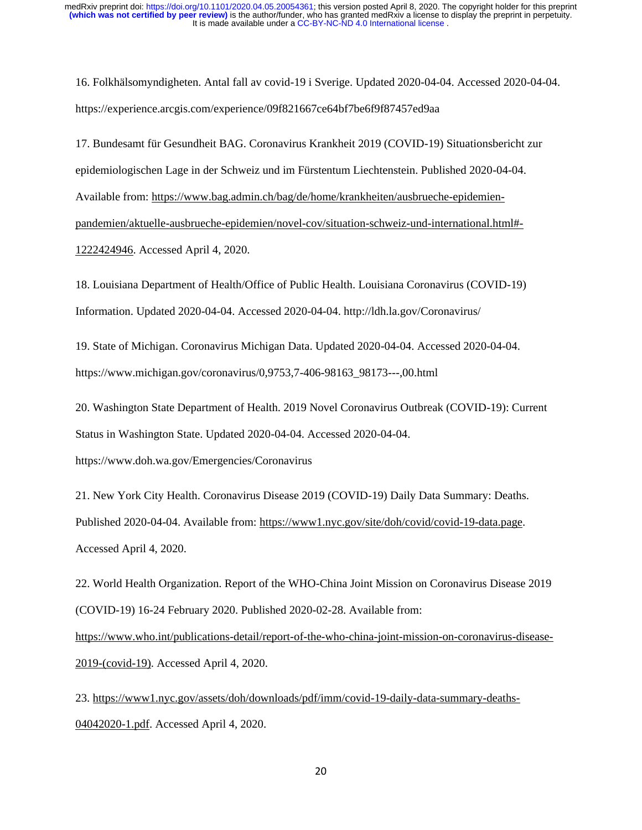16. Folkhälsomyndigheten. Antal fall av covid-19 i Sverige. Updated 2020-04-04. Accessed 2020-04-04. https://experience.arcgis.com/experience/09f821667ce64bf7be6f9f87457ed9aa

17. Bundesamt für Gesundheit BAG. Coronavirus Krankheit 2019 (COVID-19) Situationsbericht zur epidemiologischen Lage in der Schweiz und im Fürstentum Liechtenstein. Published 2020-04-04. Available from: [https://www.bag.admin.ch/bag/de/home/krankheiten/ausbrueche-epidemien](https://www.bag.admin.ch/bag/de/home/krankheiten/ausbrueche-epidemien-pandemien/aktuelle-ausbrueche-epidemien/novel-cov/situation-schweiz-und-international.html#-1222424946)[pandemien/aktuelle-ausbrueche-epidemien/novel-cov/situation-schweiz-und-international.html#-](https://www.bag.admin.ch/bag/de/home/krankheiten/ausbrueche-epidemien-pandemien/aktuelle-ausbrueche-epidemien/novel-cov/situation-schweiz-und-international.html#-1222424946) [1222424946.](https://www.bag.admin.ch/bag/de/home/krankheiten/ausbrueche-epidemien-pandemien/aktuelle-ausbrueche-epidemien/novel-cov/situation-schweiz-und-international.html#-1222424946) Accessed April 4, 2020.

18. Louisiana Department of Health/Office of Public Health. Louisiana Coronavirus (COVID-19) Information. Updated 2020-04-04. Accessed 2020-04-04. http://ldh.la.gov/Coronavirus/

19. State of Michigan. Coronavirus Michigan Data. Updated 2020-04-04. Accessed 2020-04-04. https://www.michigan.gov/coronavirus/0,9753,7-406-98163\_98173---,00.html

20. Washington State Department of Health. 2019 Novel Coronavirus Outbreak (COVID-19): Current Status in Washington State. Updated 2020-04-04. Accessed 2020-04-04. https://www.doh.wa.gov/Emergencies/Coronavirus

21. New York City Health. Coronavirus Disease 2019 (COVID-19) Daily Data Summary: Deaths. Published 2020-04-04. Available from: [https://www1.nyc.gov/site/doh/covid/covid-19-data.page.](https://www1.nyc.gov/site/doh/covid/covid-19-data.page)

Accessed April 4, 2020.

22. World Health Organization. Report of the WHO-China Joint Mission on Coronavirus Disease 2019 (COVID-19) 16-24 February 2020. Published 2020-02-28. Available from: [https://www.who.int/publications-detail/report-of-the-who-china-joint-mission-on-coronavirus-disease-](https://www.who.int/publications-detail/report-of-the-who-china-joint-mission-on-coronavirus-disease-2019-(covid-19))[2019-\(covid-19\).](https://www.who.int/publications-detail/report-of-the-who-china-joint-mission-on-coronavirus-disease-2019-(covid-19)) Accessed April 4, 2020.

23. [https://www1.nyc.gov/assets/doh/downloads/pdf/imm/covid-19-daily-data-summary-deaths-](https://www1.nyc.gov/assets/doh/downloads/pdf/imm/covid-19-daily-data-summary-deaths-04042020-1.pdf)[04042020-1.pdf.](https://www1.nyc.gov/assets/doh/downloads/pdf/imm/covid-19-daily-data-summary-deaths-04042020-1.pdf) Accessed April 4, 2020.